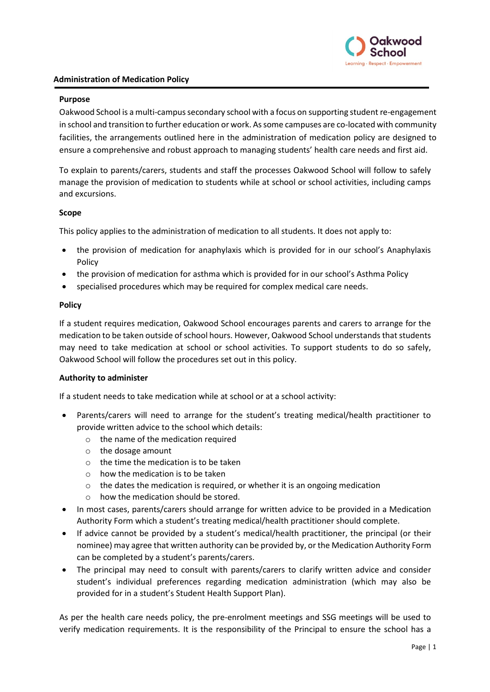

## **Administration of Medication Policy**

### **Purpose**

Oakwood School is a multi-campus secondary school with a focus on supporting student re-engagement in school and transition to further education or work. As some campuses are co-located with community facilities, the arrangements outlined here in the administration of medication policy are designed to ensure a comprehensive and robust approach to managing students' health care needs and first aid.

To explain to parents/carers, students and staff the processes Oakwood School will follow to safely manage the provision of medication to students while at school or school activities, including camps and excursions.

### **Scope**

This policy applies to the administration of medication to all students. It does not apply to:

- the provision of medication for anaphylaxis which is provided for in our school's Anaphylaxis Policy
- the provision of medication for asthma which is provided for in our school's Asthma Policy
- specialised procedures which may be required for complex medical care needs.

### **Policy**

If a student requires medication, Oakwood School encourages parents and carers to arrange for the medication to be taken outside of school hours. However, Oakwood School understands that students may need to take medication at school or school activities. To support students to do so safely, Oakwood School will follow the procedures set out in this policy.

### **Authority to administer**

If a student needs to take medication while at school or at a school activity:

- Parents/carers will need to arrange for the student's treating medical/health practitioner to provide written advice to the school which details:
	- o the name of the medication required
	- o the dosage amount
	- o the time the medication is to be taken
	- $\circ$  how the medication is to be taken
	- $\circ$  the dates the medication is required, or whether it is an ongoing medication
	- o how the medication should be stored.
- In most cases, parents/carers should arrange for written advice to be provided in a Medication Authority Form which a student's treating medical/health practitioner should complete.
- If advice cannot be provided by a student's medical/health practitioner, the principal (or their nominee) may agree that written authority can be provided by, or the Medication Authority Form can be completed by a student's parents/carers.
- The principal may need to consult with parents/carers to clarify written advice and consider student's individual preferences regarding medication administration (which may also be provided for in a student's Student Health Support Plan).

As per the health care needs policy, the pre-enrolment meetings and SSG meetings will be used to verify medication requirements. It is the responsibility of the Principal to ensure the school has a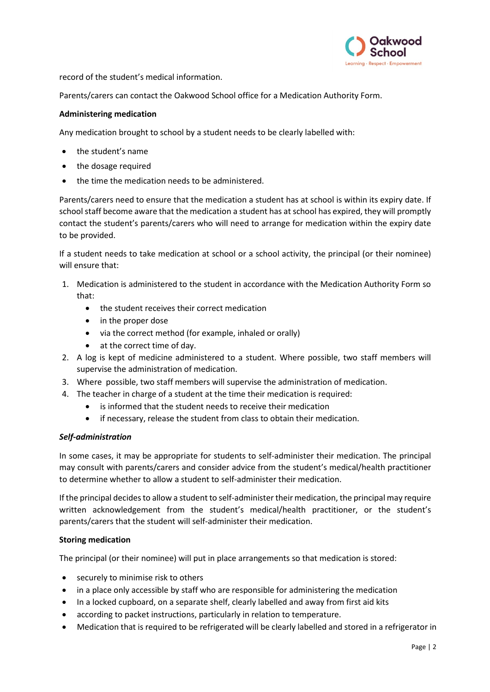

record of the student's medical information.

Parents/carers can contact the Oakwood School office for a Medication Authority Form.

### **Administering medication**

Any medication brought to school by a student needs to be clearly labelled with:

- the student's name
- the dosage required
- the time the medication needs to be administered.

Parents/carers need to ensure that the medication a student has at school is within its expiry date. If school staff become aware that the medication a student has at school has expired, they will promptly contact the student's parents/carers who will need to arrange for medication within the expiry date to be provided.

If a student needs to take medication at school or a school activity, the principal (or their nominee) will ensure that:

- 1. Medication is administered to the student in accordance with the Medication Authority Form so that:
	- the student receives their correct medication
	- in the proper dose
	- via the correct method (for example, inhaled or orally)
	- at the correct time of day.
- 2. A log is kept of medicine administered to a student. Where possible, two staff members will supervise the administration of medication.
- 3. Where possible, two staff members will supervise the administration of medication.
- 4. The teacher in charge of a student at the time their medication is required:
	- is informed that the student needs to receive their medication
	- if necessary, release the student from class to obtain their medication.

### *Self-administration*

In some cases, it may be appropriate for students to self-administer their medication. The principal may consult with parents/carers and consider advice from the student's medical/health practitioner to determine whether to allow a student to self-administer their medication.

If the principal decides to allow a student to self-administer their medication, the principal may require written acknowledgement from the student's medical/health practitioner, or the student's parents/carers that the student will self-administer their medication.

## **Storing medication**

The principal (or their nominee) will put in place arrangements so that medication is stored:

- securely to minimise risk to others
- in a place only accessible by staff who are responsible for administering the medication
- In a locked cupboard, on a separate shelf, clearly labelled and away from first aid kits
- according to packet instructions, particularly in relation to temperature.
- Medication that is required to be refrigerated will be clearly labelled and stored in a refrigerator in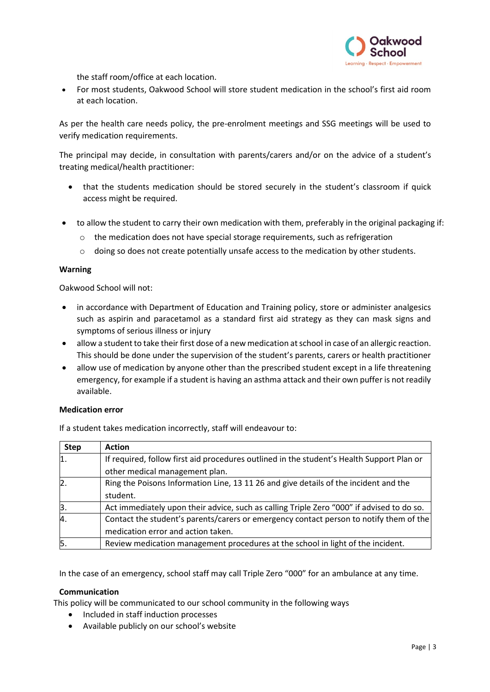

the staff room/office at each location.

• For most students, Oakwood School will store student medication in the school's first aid room at each location.

As per the health care needs policy, the pre-enrolment meetings and SSG meetings will be used to verify medication requirements.

The principal may decide, in consultation with parents/carers and/or on the advice of a student's treating medical/health practitioner:

- that the students medication should be stored securely in the student's classroom if quick access might be required.
- to allow the student to carry their own medication with them, preferably in the original packaging if:
	- $\circ$  the medication does not have special storage requirements, such as refrigeration
	- $\circ$  doing so does not create potentially unsafe access to the medication by other students.

#### **Warning**

Oakwood School will not:

- in accordance with Department of Education and Training policy, store or administer analgesics such as aspirin and paracetamol as a standard first aid strategy as they can mask signs and symptoms of serious illness or injury
- allow a student to take their first dose of a new medication at school in case of an allergic reaction. This should be done under the supervision of the student's parents, carers or health practitioner
- allow use of medication by anyone other than the prescribed student except in a life threatening emergency, for example if a student is having an asthma attack and their own puffer is not readily available.

### **Medication error**

If a student takes medication incorrectly, staff will endeavour to:

| <b>Step</b>    | <b>Action</b>                                                                             |
|----------------|-------------------------------------------------------------------------------------------|
| 1.             | If required, follow first aid procedures outlined in the student's Health Support Plan or |
|                | other medical management plan.                                                            |
| $\mathsf{Z}$ . | Ring the Poisons Information Line, 13 11 26 and give details of the incident and the      |
|                | student.                                                                                  |
| β.             | Act immediately upon their advice, such as calling Triple Zero "000" if advised to do so. |
| $\overline{4}$ | Contact the student's parents/carers or emergency contact person to notify them of the    |
|                | medication error and action taken.                                                        |
| 5.             | Review medication management procedures at the school in light of the incident.           |

In the case of an emergency, school staff may call Triple Zero "000" for an ambulance at any time.

#### **Communication**

This policy will be communicated to our school community in the following ways

- Included in staff induction processes
- Available publicly on our school's website